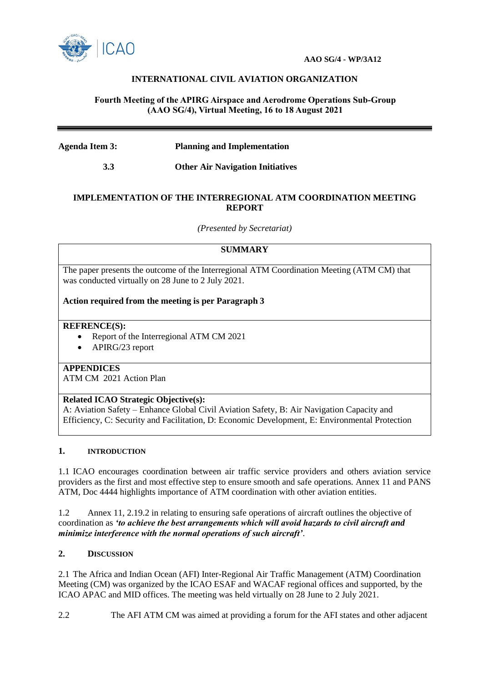

# **INTERNATIONAL CIVIL AVIATION ORGANIZATION**

## **Fourth Meeting of the APIRG Airspace and Aerodrome Operations Sub-Group (AAO SG/4), Virtual Meeting, 16 to 18 August 2021**

## **Agenda Item 3: Planning and Implementation**

 **3.3 Other Air Navigation Initiatives**

### **IMPLEMENTATION OF THE INTERREGIONAL ATM COORDINATION MEETING REPORT**

*(Presented by Secretariat)*

## **SUMMARY**

The paper presents the outcome of the Interregional ATM Coordination Meeting (ATM CM) that was conducted virtually on 28 June to 2 July 2021.

### **Action required from the meeting is per Paragraph 3**

#### **REFRENCE(S):**

- Report of the Interregional ATM CM 2021
- APIRG/23 report

## **APPENDICES**

ATM CM 2021 Action Plan

### **Related ICAO Strategic Objective(s):**

A: Aviation Safety – Enhance Global Civil Aviation Safety, B: Air Navigation Capacity and Efficiency, C: Security and Facilitation, D: Economic Development, E: Environmental Protection

#### **1. INTRODUCTION**

1.1 ICAO encourages coordination between air traffic service providers and others aviation service providers as the first and most effective step to ensure smooth and safe operations. Annex 11 and PANS ATM, Doc 4444 highlights importance of ATM coordination with other aviation entities.

1.2 Annex 11, 2.19.2 in relating to ensuring safe operations of aircraft outlines the objective of coordination as *'to achieve the best arrangements which will avoid hazards to civil aircraft and minimize interference with the normal operations of such aircraft'*.

# **2. DISCUSSION**

2.1 The Africa and Indian Ocean (AFI) Inter-Regional Air Traffic Management (ATM) Coordination Meeting (CM) was organized by the ICAO ESAF and WACAF regional offices and supported, by the ICAO APAC and MID offices. The meeting was held virtually on 28 June to 2 July 2021.

2.2 The AFI ATM CM was aimed at providing a forum for the AFI states and other adjacent